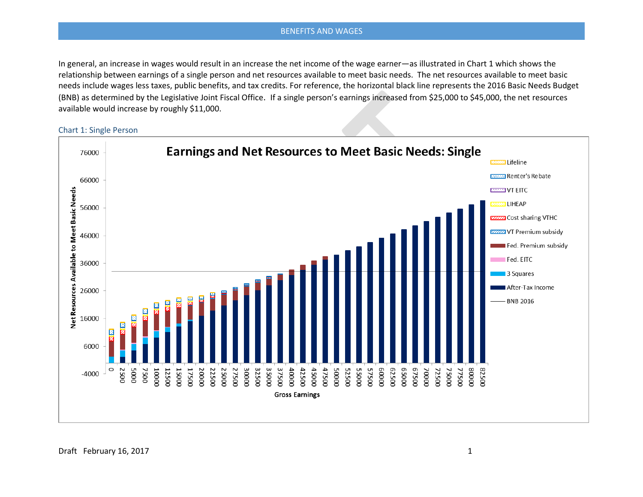In general, an increase in wages would result in an increase the net income of the wage earner—as illustrated in Chart 1 which shows the relationship between earnings of a single person and net resources available to meet basic needs. The net resources available to meet basic needs include wages less taxes, public benefits, and tax credits. For reference, the horizontal black line represents the 2016 Basic Needs Budget (BNB) as determined by the Legislative Joint Fiscal Office. If a single person's earnings increased from \$25,000 to \$45,000, the net resources available would increase by roughly \$11,000.

Chart 1: Single Person

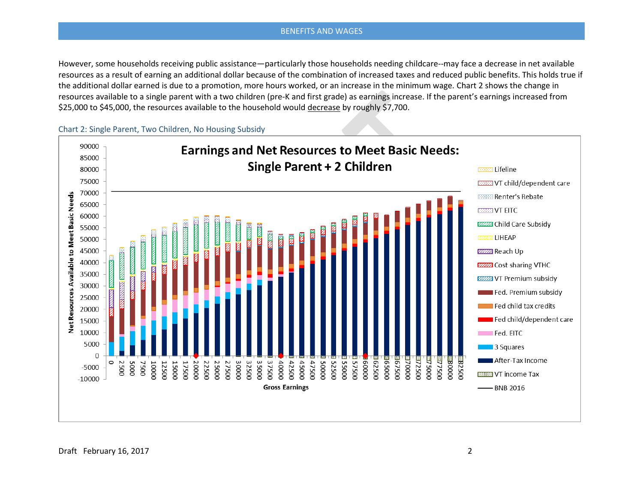However, some households receiving public assistance—particularly those households needing childcare--may face a decrease in net available resources as a result of earning an additional dollar because of the combination of increased taxes and reduced public benefits. This holds true if the additional dollar earned is due to a promotion, more hours worked, or an increase in the minimum wage. Chart 2 shows the change in resources available to a single parent with a two children (pre-K and first grade) as earnings increase. If the parent's earnings increased from \$25,000 to \$45,000, the resources available to the household would decrease by roughly \$7,700.

Chart 2: Single Parent, Two Children, No Housing Subsidy

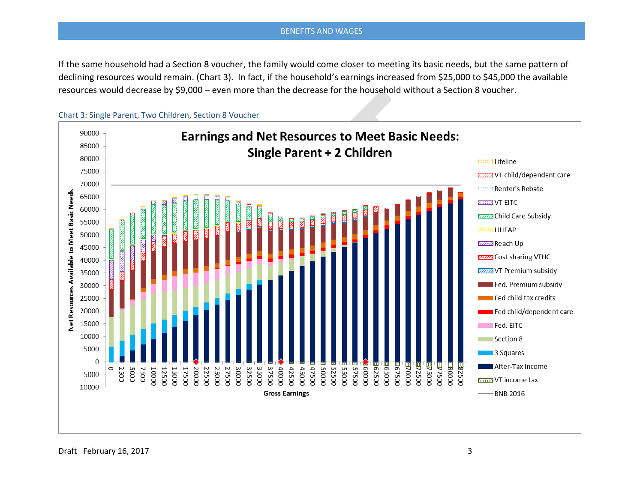If the same household had a Section 8 voucher, the family would come closer to meeting its basic needs, but the same pattern of declining resources would remain. (Chart 3). In fact, if the household's earnings increased from \$25,000 to \$45,000 the available resources would decrease by \$9,000 – even more than the decrease for the household without a Section 8 voucher.

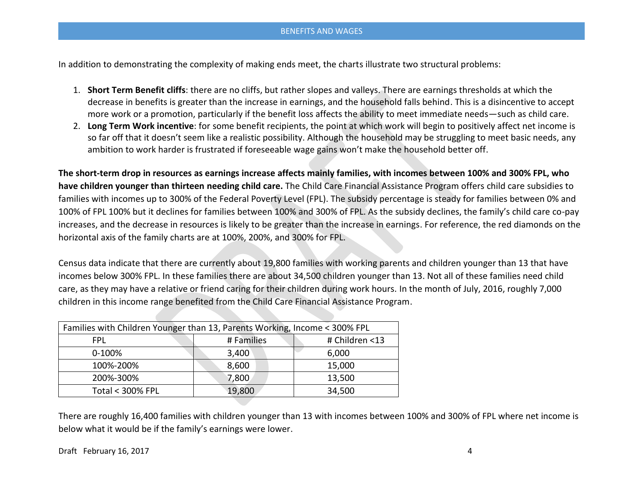In addition to demonstrating the complexity of making ends meet, the charts illustrate two structural problems:

- 1. **Short Term Benefit cliffs**: there are no cliffs, but rather slopes and valleys. There are earnings thresholds at which the decrease in benefits is greater than the increase in earnings, and the household falls behind. This is a disincentive to accept more work or a promotion, particularly if the benefit loss affects the ability to meet immediate needs—such as child care.
- 2. **Long Term Work incentive**: for some benefit recipients, the point at which work will begin to positively affect net income is so far off that it doesn't seem like a realistic possibility. Although the household may be struggling to meet basic needs, any ambition to work harder is frustrated if foreseeable wage gains won't make the household better off.

**The short-term drop in resources as earnings increase affects mainly families, with incomes between 100% and 300% FPL, who have children younger than thirteen needing child care.** The Child Care Financial Assistance Program offers child care subsidies to families with incomes up to 300% of the Federal Poverty Level (FPL). The subsidy percentage is steady for families between 0% and 100% of FPL 100% but it declines for families between 100% and 300% of FPL. As the subsidy declines, the family's child care co-pay increases, and the decrease in resources is likely to be greater than the increase in earnings. For reference, the red diamonds on the horizontal axis of the family charts are at 100%, 200%, and 300% for FPL.

Census data indicate that there are currently about 19,800 families with working parents and children younger than 13 that have incomes below 300% FPL. In these families there are about 34,500 children younger than 13. Not all of these families need child care, as they may have a relative or friend caring for their children during work hours. In the month of July, 2016, roughly 7,000 children in this income range benefited from the Child Care Financial Assistance Program.

| Families with Children Younger than 13, Parents Working, Income < 300% FPL |            |                |
|----------------------------------------------------------------------------|------------|----------------|
| FPL                                                                        | # Families | # Children <13 |
| $0-100%$                                                                   | 3,400      | 6,000          |
| 100%-200%                                                                  | 8,600      | 15,000         |
| 200%-300%                                                                  | 7,800      | 13,500         |
| <b>Total &lt; 300% FPL</b>                                                 | 19,800     | 34,500         |

There are roughly 16,400 families with children younger than 13 with incomes between 100% and 300% of FPL where net income is below what it would be if the family's earnings were lower.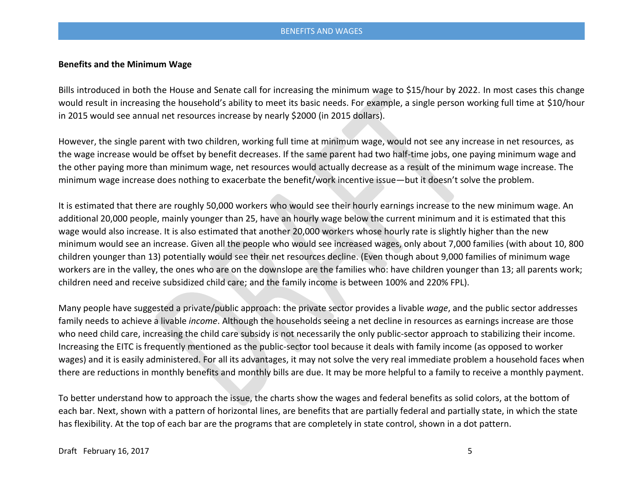# **Benefits and the Minimum Wage**

Bills introduced in both the House and Senate call for increasing the minimum wage to \$15/hour by 2022. In most cases this change would result in increasing the household's ability to meet its basic needs. For example, a single person working full time at \$10/hour in 2015 would see annual net resources increase by nearly \$2000 (in 2015 dollars).

However, the single parent with two children, working full time at minimum wage, would not see any increase in net resources, as the wage increase would be offset by benefit decreases. If the same parent had two half-time jobs, one paying minimum wage and the other paying more than minimum wage, net resources would actually decrease as a result of the minimum wage increase. The minimum wage increase does nothing to exacerbate the benefit/work incentive issue—but it doesn't solve the problem.

It is estimated that there are roughly 50,000 workers who would see their hourly earnings increase to the new minimum wage. An additional 20,000 people, mainly younger than 25, have an hourly wage below the current minimum and it is estimated that this wage would also increase. It is also estimated that another 20,000 workers whose hourly rate is slightly higher than the new minimum would see an increase. Given all the people who would see increased wages, only about 7,000 families (with about 10, 800 children younger than 13) potentially would see their net resources decline. (Even though about 9,000 families of minimum wage workers are in the valley, the ones who are on the downslope are the families who: have children younger than 13; all parents work; children need and receive subsidized child care; and the family income is between 100% and 220% FPL).

Many people have suggested a private/public approach: the private sector provides a livable *wage*, and the public sector addresses family needs to achieve a livable *income*. Although the households seeing a net decline in resources as earnings increase are those who need child care, increasing the child care subsidy is not necessarily the only public-sector approach to stabilizing their income. Increasing the EITC is frequently mentioned as the public-sector tool because it deals with family income (as opposed to worker wages) and it is easily administered. For all its advantages, it may not solve the very real immediate problem a household faces when there are reductions in monthly benefits and monthly bills are due. It may be more helpful to a family to receive a monthly payment.

To better understand how to approach the issue, the charts show the wages and federal benefits as solid colors, at the bottom of each bar. Next, shown with a pattern of horizontal lines, are benefits that are partially federal and partially state, in which the state has flexibility. At the top of each bar are the programs that are completely in state control, shown in a dot pattern.